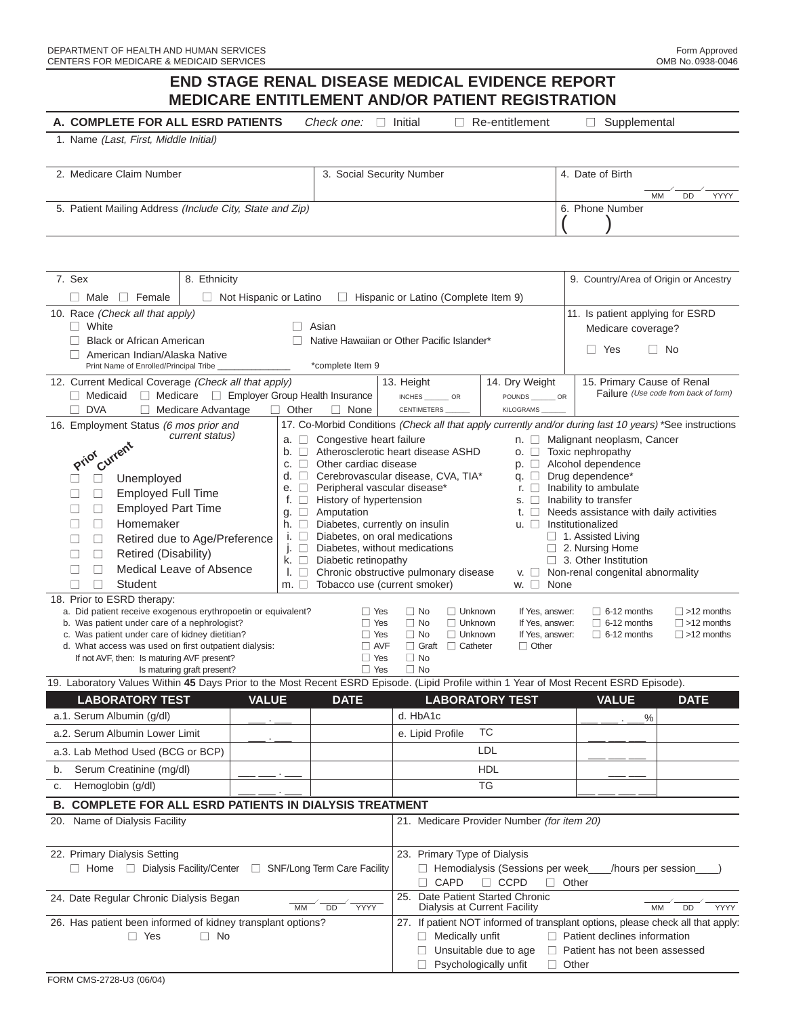# **END STAGE RENAL DISEASE MEDICAL EVIDENCE REPORT MEDICARE ENTITLEMENT AND/OR PATIENT REGISTRATION**

| A. COMPLETE FOR ALL ESRD PATIENTS                                                                                                                                                                                                                                                                                                                                                                         | Check one:<br>$\Box$                                                                                                                                                                                                                                                                                                                                                                                                                                                           | Initial                                                                                                                                                                                                                                                                                                                                                                                                                                                                                                                                                                                                                                                                                                     | $\Box$ Re-entitlement                                          | $\Box$ Supplemental                                         |                                      |  |
|-----------------------------------------------------------------------------------------------------------------------------------------------------------------------------------------------------------------------------------------------------------------------------------------------------------------------------------------------------------------------------------------------------------|--------------------------------------------------------------------------------------------------------------------------------------------------------------------------------------------------------------------------------------------------------------------------------------------------------------------------------------------------------------------------------------------------------------------------------------------------------------------------------|-------------------------------------------------------------------------------------------------------------------------------------------------------------------------------------------------------------------------------------------------------------------------------------------------------------------------------------------------------------------------------------------------------------------------------------------------------------------------------------------------------------------------------------------------------------------------------------------------------------------------------------------------------------------------------------------------------------|----------------------------------------------------------------|-------------------------------------------------------------|--------------------------------------|--|
| 1. Name (Last, First, Middle Initial)                                                                                                                                                                                                                                                                                                                                                                     |                                                                                                                                                                                                                                                                                                                                                                                                                                                                                |                                                                                                                                                                                                                                                                                                                                                                                                                                                                                                                                                                                                                                                                                                             |                                                                |                                                             |                                      |  |
| 2. Medicare Claim Number                                                                                                                                                                                                                                                                                                                                                                                  | 3. Social Security Number                                                                                                                                                                                                                                                                                                                                                                                                                                                      |                                                                                                                                                                                                                                                                                                                                                                                                                                                                                                                                                                                                                                                                                                             | 4. Date of Birth                                               |                                                             |                                      |  |
| 5. Patient Mailing Address (Include City, State and Zip)                                                                                                                                                                                                                                                                                                                                                  |                                                                                                                                                                                                                                                                                                                                                                                                                                                                                |                                                                                                                                                                                                                                                                                                                                                                                                                                                                                                                                                                                                                                                                                                             | MM<br>6. Phone Number                                          | DD<br>YYYY                                                  |                                      |  |
|                                                                                                                                                                                                                                                                                                                                                                                                           |                                                                                                                                                                                                                                                                                                                                                                                                                                                                                |                                                                                                                                                                                                                                                                                                                                                                                                                                                                                                                                                                                                                                                                                                             |                                                                |                                                             |                                      |  |
| 7. Sex<br>8. Ethnicity                                                                                                                                                                                                                                                                                                                                                                                    |                                                                                                                                                                                                                                                                                                                                                                                                                                                                                |                                                                                                                                                                                                                                                                                                                                                                                                                                                                                                                                                                                                                                                                                                             |                                                                | 9. Country/Area of Origin or Ancestry                       |                                      |  |
| 10. Race (Check all that apply)<br>$\Box$ White                                                                                                                                                                                                                                                                                                                                                           | $\Box$ Male $\Box$ Female<br>$\Box$ Hispanic or Latino (Complete Item 9)<br>$\Box$ Not Hispanic or Latino<br>Asian                                                                                                                                                                                                                                                                                                                                                             |                                                                                                                                                                                                                                                                                                                                                                                                                                                                                                                                                                                                                                                                                                             |                                                                | 11. Is patient applying for ESRD                            |                                      |  |
| <b>Black or African American</b><br>$\Box$<br>American Indian/Alaska Native                                                                                                                                                                                                                                                                                                                               | Native Hawaiian or Other Pacific Islander*                                                                                                                                                                                                                                                                                                                                                                                                                                     |                                                                                                                                                                                                                                                                                                                                                                                                                                                                                                                                                                                                                                                                                                             | Medicare coverage?<br>$\Box$ Yes                               | $\Box$ No                                                   |                                      |  |
| Print Name of Enrolled/Principal Tribe                                                                                                                                                                                                                                                                                                                                                                    | *complete Item 9                                                                                                                                                                                                                                                                                                                                                                                                                                                               |                                                                                                                                                                                                                                                                                                                                                                                                                                                                                                                                                                                                                                                                                                             |                                                                |                                                             |                                      |  |
| 12. Current Medical Coverage (Check all that apply)<br>Medicaid<br>$\Box$ Medicare $\Box$ Employer Group Health Insurance                                                                                                                                                                                                                                                                                 |                                                                                                                                                                                                                                                                                                                                                                                                                                                                                | 13. Height<br>INCHES ________ OR                                                                                                                                                                                                                                                                                                                                                                                                                                                                                                                                                                                                                                                                            | 14. Dry Weight<br>POUNDS _______ OR                            | 15. Primary Cause of Renal                                  | Failure (Use code from back of form) |  |
| <b>DVA</b><br>$\Box$ Medicare Advantage<br>$\mathsf{L}$                                                                                                                                                                                                                                                                                                                                                   | $\Box$ Other<br>$\Box$ None                                                                                                                                                                                                                                                                                                                                                                                                                                                    | <b>CENTIMETERS</b>                                                                                                                                                                                                                                                                                                                                                                                                                                                                                                                                                                                                                                                                                          | KILOGRAMS                                                      |                                                             |                                      |  |
| 16. Employment Status (6 mos prior and<br>current status)<br>Current<br>Prior<br>П<br>$\Box$<br>Unemployed<br><b>Employed Full Time</b><br>$\Box$<br>$\Box$<br><b>Employed Part Time</b><br>$\Box$<br>$\Box$<br>$\Box$<br>Homemaker<br>$\Box$<br>$\Box$<br>Retired due to Age/Preference<br>Retired (Disability)<br>$\Box$<br>□<br>П<br>$\Box$<br>Medical Leave of Absence<br>$\Box$<br>$\Box$<br>Student | Congestive heart failure<br>а. □<br>$b.$ $\Box$<br>Other cardiac disease<br>$c.$ $\Box$<br>d. □<br>Peripheral vascular disease*<br>e. $\square$<br>History of hypertension<br>f. $\Box$<br>$\Box$<br>Amputation<br>g.<br>Diabetes, currently on insulin<br>$h.$ $\Box$<br>Diabetes, on oral medications<br>i. $\Box$<br>Diabetes, without medications<br>j.<br>$\Box$<br>Diabetic retinopathy<br>k. □<br>$\mathsf{L} \ \Box$<br>Tobacco use (current smoker)<br>$m.$ $\square$ | 17. Co-Morbid Conditions (Check all that apply currently and/or during last 10 years) *See instructions<br>$n.$ $\Box$ Malignant neoplasm, Cancer<br>Atherosclerotic heart disease ASHD<br>$o.$ $\Box$ Toxic nephropathy<br>Alcohol dependence<br>p. $\Box$<br>Drug dependence*<br>Cerebrovascular disease, CVA, TIA*<br>q. $\square$<br>Inability to ambulate<br>r. $\Box$<br>Inability to transfer<br>s. $\square$<br>Needs assistance with daily activities<br>t. $\Box$<br>$u.$ Institutionalized<br>$\Box$ 1. Assisted Living<br>$\Box$ 2. Nursing Home<br>$\Box$ 3. Other Institution<br>Chronic obstructive pulmonary disease<br>$v.$ $\Box$ Non-renal congenital abnormality<br>$W.$ $\Box$<br>None |                                                                |                                                             |                                      |  |
| 18. Prior to ESRD therapy:<br>a. Did patient receive exogenous erythropoetin or equivalent?<br>b. Was patient under care of a nephrologist?<br>c. Was patient under care of kidney dietitian?<br>d. What access was used on first outpatient dialysis:<br>If not AVF, then: Is maturing AVF present?<br>Is maturing graft present?                                                                        | $\Box$ No<br>$\Box$ Unknown<br>$\Box$ No<br>$\Box$ Unknown<br>$\Box$ Unknown<br>$\Box$ No<br>$\Box$ Catheter<br>$\Box$ Graft<br>$\Box$ No<br>$\Box$ No                                                                                                                                                                                                                                                                                                                         | If Yes, answer:<br>If Yes, answer:<br>If Yes, answer:<br>$\Box$ Other                                                                                                                                                                                                                                                                                                                                                                                                                                                                                                                                                                                                                                       | $\Box$ 6-12 months<br>$\Box$ 6-12 months<br>$\Box$ 6-12 months | $\Box$ >12 months<br>$\Box$ >12 months<br>$\Box$ >12 months |                                      |  |
| 19. Laboratory Values Within 45 Days Prior to the Most Recent ESRD Episode. (Lipid Profile within 1 Year of Most Recent ESRD Episode).                                                                                                                                                                                                                                                                    |                                                                                                                                                                                                                                                                                                                                                                                                                                                                                |                                                                                                                                                                                                                                                                                                                                                                                                                                                                                                                                                                                                                                                                                                             |                                                                |                                                             |                                      |  |
| <b>LABORATORY TEST</b><br><b>VALUE</b>                                                                                                                                                                                                                                                                                                                                                                    | <b>DATE</b>                                                                                                                                                                                                                                                                                                                                                                                                                                                                    |                                                                                                                                                                                                                                                                                                                                                                                                                                                                                                                                                                                                                                                                                                             | <b>LABORATORY TEST</b>                                         | <b>VALUE</b>                                                | <b>DATE</b>                          |  |
| a.1. Serum Albumin (g/dl)                                                                                                                                                                                                                                                                                                                                                                                 |                                                                                                                                                                                                                                                                                                                                                                                                                                                                                | d. HbA1c                                                                                                                                                                                                                                                                                                                                                                                                                                                                                                                                                                                                                                                                                                    | ТC                                                             | %                                                           |                                      |  |
| a.2. Serum Albumin Lower Limit                                                                                                                                                                                                                                                                                                                                                                            |                                                                                                                                                                                                                                                                                                                                                                                                                                                                                | e. Lipid Profile                                                                                                                                                                                                                                                                                                                                                                                                                                                                                                                                                                                                                                                                                            |                                                                |                                                             |                                      |  |
| a.3. Lab Method Used (BCG or BCP)                                                                                                                                                                                                                                                                                                                                                                         |                                                                                                                                                                                                                                                                                                                                                                                                                                                                                | LDL                                                                                                                                                                                                                                                                                                                                                                                                                                                                                                                                                                                                                                                                                                         |                                                                |                                                             |                                      |  |
| b.<br>Hemoglobin (g/dl)<br>c.                                                                                                                                                                                                                                                                                                                                                                             | Serum Creatinine (mg/dl)                                                                                                                                                                                                                                                                                                                                                                                                                                                       |                                                                                                                                                                                                                                                                                                                                                                                                                                                                                                                                                                                                                                                                                                             | <b>HDL</b><br><b>TG</b>                                        |                                                             |                                      |  |
|                                                                                                                                                                                                                                                                                                                                                                                                           |                                                                                                                                                                                                                                                                                                                                                                                                                                                                                |                                                                                                                                                                                                                                                                                                                                                                                                                                                                                                                                                                                                                                                                                                             |                                                                |                                                             |                                      |  |
| <b>B. COMPLETE FOR ALL ESRD PATIENTS IN DIALYSIS TREATMENT</b><br>20. Name of Dialysis Facility                                                                                                                                                                                                                                                                                                           |                                                                                                                                                                                                                                                                                                                                                                                                                                                                                |                                                                                                                                                                                                                                                                                                                                                                                                                                                                                                                                                                                                                                                                                                             | 21. Medicare Provider Number (for item 20)                     |                                                             |                                      |  |
| 22. Primary Dialysis Setting<br>$\Box$ Home $\Box$ Dialysis Facility/Center<br>SNF/Long Term Care Facility                                                                                                                                                                                                                                                                                                |                                                                                                                                                                                                                                                                                                                                                                                                                                                                                | 23. Primary Type of Dialysis<br>□ Hemodialysis (Sessions per week<br>hours per session<br>$\Box$ CCPD<br>$\Box$ CAPD<br>$\Box$ Other                                                                                                                                                                                                                                                                                                                                                                                                                                                                                                                                                                        |                                                                |                                                             |                                      |  |
| 24. Date Regular Chronic Dialysis Began<br>YYYY<br>MM<br>DD                                                                                                                                                                                                                                                                                                                                               |                                                                                                                                                                                                                                                                                                                                                                                                                                                                                | 25. Date Patient Started Chronic                                                                                                                                                                                                                                                                                                                                                                                                                                                                                                                                                                                                                                                                            |                                                                | MM                                                          | <b>DD</b><br>YYYY                    |  |
| 26. Has patient been informed of kidney transplant options?<br>$\Box$ Yes<br>$\Box$ No                                                                                                                                                                                                                                                                                                                    |                                                                                                                                                                                                                                                                                                                                                                                                                                                                                | Dialysis at Current Facility<br>27. If patient NOT informed of transplant options, please check all that apply:<br>$\Box$ Medically unfit<br>$\Box$ Patient declines information<br>Unsuitable due to age<br>$\Box$ Patient has not been assessed                                                                                                                                                                                                                                                                                                                                                                                                                                                           |                                                                |                                                             |                                      |  |

■ Psychologically unfit ■ Other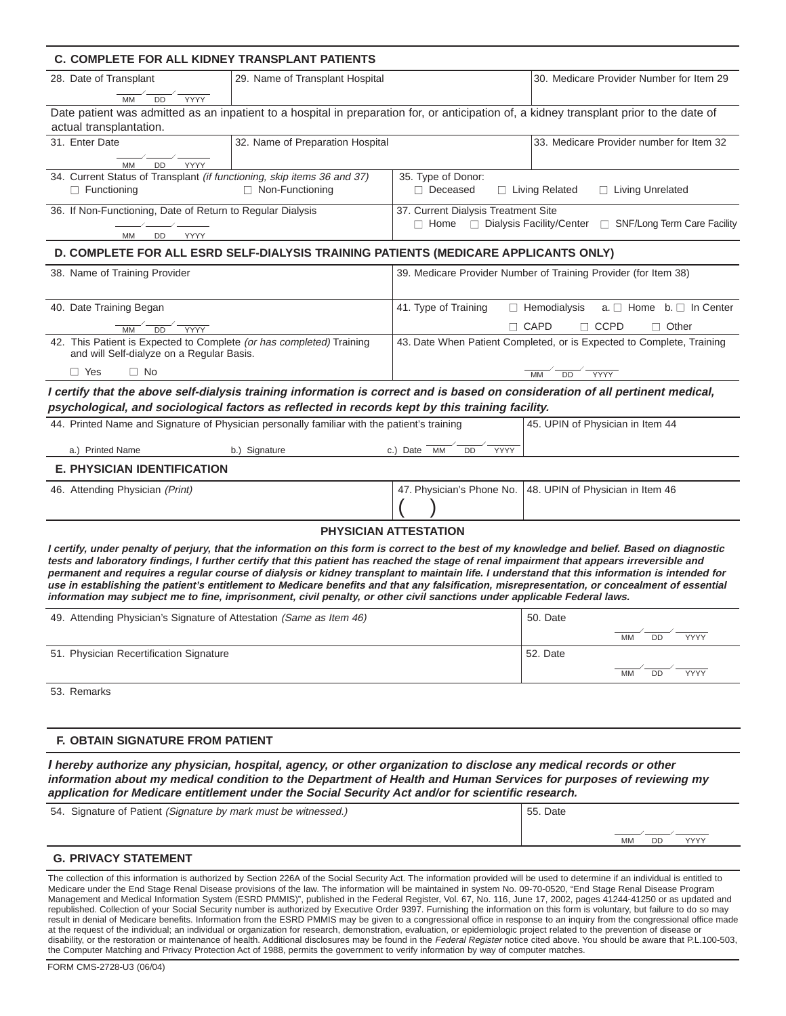| C. COMPLETE FOR ALL KIDNEY TRANSPLANT PATIENTS                                                                                                                                                                           |                                  |                                                                                                        |                                                                                                                                                                                                                                                                                                                                                                                                                                                                                                                                                                                               |  |  |
|--------------------------------------------------------------------------------------------------------------------------------------------------------------------------------------------------------------------------|----------------------------------|--------------------------------------------------------------------------------------------------------|-----------------------------------------------------------------------------------------------------------------------------------------------------------------------------------------------------------------------------------------------------------------------------------------------------------------------------------------------------------------------------------------------------------------------------------------------------------------------------------------------------------------------------------------------------------------------------------------------|--|--|
| 28. Date of Transplant                                                                                                                                                                                                   | 29. Name of Transplant Hospital  | 30. Medicare Provider Number for Item 29                                                               |                                                                                                                                                                                                                                                                                                                                                                                                                                                                                                                                                                                               |  |  |
| <b>DD</b><br>YYYY<br><b>MM</b>                                                                                                                                                                                           |                                  |                                                                                                        |                                                                                                                                                                                                                                                                                                                                                                                                                                                                                                                                                                                               |  |  |
| actual transplantation.                                                                                                                                                                                                  |                                  |                                                                                                        | Date patient was admitted as an inpatient to a hospital in preparation for, or anticipation of, a kidney transplant prior to the date of                                                                                                                                                                                                                                                                                                                                                                                                                                                      |  |  |
| 31. Enter Date                                                                                                                                                                                                           | 32. Name of Preparation Hospital | 33. Medicare Provider number for Item 32                                                               |                                                                                                                                                                                                                                                                                                                                                                                                                                                                                                                                                                                               |  |  |
|                                                                                                                                                                                                                          |                                  |                                                                                                        |                                                                                                                                                                                                                                                                                                                                                                                                                                                                                                                                                                                               |  |  |
| <b>MM</b><br>DD<br>YYYY<br>34. Current Status of Transplant (if functioning, skip items 36 and 37)                                                                                                                       |                                  | 35. Type of Donor:                                                                                     |                                                                                                                                                                                                                                                                                                                                                                                                                                                                                                                                                                                               |  |  |
| $\Box$ Functioning                                                                                                                                                                                                       | $\Box$ Non-Functioning           | $\Box$ Deceased<br>□ Living Unrelated<br>$\Box$ Living Related                                         |                                                                                                                                                                                                                                                                                                                                                                                                                                                                                                                                                                                               |  |  |
| 36. If Non-Functioning, Date of Return to Regular Dialysis                                                                                                                                                               |                                  | 37. Current Dialysis Treatment Site<br>□ Home □ Dialysis Facility/Center □ SNF/Long Term Care Facility |                                                                                                                                                                                                                                                                                                                                                                                                                                                                                                                                                                                               |  |  |
| YYYY<br>МM<br>DD                                                                                                                                                                                                         |                                  |                                                                                                        |                                                                                                                                                                                                                                                                                                                                                                                                                                                                                                                                                                                               |  |  |
| D. COMPLETE FOR ALL ESRD SELF-DIALYSIS TRAINING PATIENTS (MEDICARE APPLICANTS ONLY)                                                                                                                                      |                                  |                                                                                                        |                                                                                                                                                                                                                                                                                                                                                                                                                                                                                                                                                                                               |  |  |
| 38. Name of Training Provider                                                                                                                                                                                            |                                  | 39. Medicare Provider Number of Training Provider (for Item 38)                                        |                                                                                                                                                                                                                                                                                                                                                                                                                                                                                                                                                                                               |  |  |
| 40. Date Training Began                                                                                                                                                                                                  |                                  | 41. Type of Training<br>$a. \Box$ Home $b. \Box$ In Center<br>$\Box$ Hemodialysis                      |                                                                                                                                                                                                                                                                                                                                                                                                                                                                                                                                                                                               |  |  |
| <b>MM</b><br>DD<br><b>YYYY</b>                                                                                                                                                                                           |                                  | $\Box$ CAPD<br>$\Box$ CCPD<br>$\Box$ Other                                                             |                                                                                                                                                                                                                                                                                                                                                                                                                                                                                                                                                                                               |  |  |
| 42. This Patient is Expected to Complete (or has completed) Training<br>and will Self-dialyze on a Regular Basis.                                                                                                        |                                  | 43. Date When Patient Completed, or is Expected to Complete, Training                                  |                                                                                                                                                                                                                                                                                                                                                                                                                                                                                                                                                                                               |  |  |
| $\Box$ No<br>$\Box$ Yes                                                                                                                                                                                                  |                                  | <b>MM</b><br>YYYY<br>DD                                                                                |                                                                                                                                                                                                                                                                                                                                                                                                                                                                                                                                                                                               |  |  |
|                                                                                                                                                                                                                          |                                  |                                                                                                        | I certify that the above self-dialysis training information is correct and is based on consideration of all pertinent medical,                                                                                                                                                                                                                                                                                                                                                                                                                                                                |  |  |
| psychological, and sociological factors as reflected in records kept by this training facility.                                                                                                                          |                                  |                                                                                                        |                                                                                                                                                                                                                                                                                                                                                                                                                                                                                                                                                                                               |  |  |
| 44. Printed Name and Signature of Physician personally familiar with the patient's training                                                                                                                              |                                  |                                                                                                        | 45. UPIN of Physician in Item 44                                                                                                                                                                                                                                                                                                                                                                                                                                                                                                                                                              |  |  |
|                                                                                                                                                                                                                          |                                  |                                                                                                        |                                                                                                                                                                                                                                                                                                                                                                                                                                                                                                                                                                                               |  |  |
| a.) Printed Name                                                                                                                                                                                                         | b.) Signature                    | c.) Date<br>MM<br><b>DD</b><br>YYYY                                                                    |                                                                                                                                                                                                                                                                                                                                                                                                                                                                                                                                                                                               |  |  |
| <b>E. PHYSICIAN IDENTIFICATION</b>                                                                                                                                                                                       |                                  |                                                                                                        |                                                                                                                                                                                                                                                                                                                                                                                                                                                                                                                                                                                               |  |  |
| 46. Attending Physician (Print)                                                                                                                                                                                          |                                  | 47. Physician's Phone No.                                                                              | 48. UPIN of Physician in Item 46                                                                                                                                                                                                                                                                                                                                                                                                                                                                                                                                                              |  |  |
|                                                                                                                                                                                                                          |                                  | <b>PHYSICIAN ATTESTATION</b>                                                                           |                                                                                                                                                                                                                                                                                                                                                                                                                                                                                                                                                                                               |  |  |
| information may subject me to fine, imprisonment, civil penalty, or other civil sanctions under applicable Federal laws.                                                                                                 |                                  |                                                                                                        | I certify, under penalty of perjury, that the information on this form is correct to the best of my knowledge and belief. Based on diagnostic<br>tests and laboratory findings, I further certify that this patient has reached the stage of renal impairment that appears irreversible and<br>permanent and requires a regular course of dialysis or kidney transplant to maintain life. I understand that this information is intended for<br>use in establishing the patient's entitlement to Medicare benefits and that any falsification, misrepresentation, or concealment of essential |  |  |
| 49. Attending Physician's Signature of Attestation (Same as Item 46)                                                                                                                                                     |                                  |                                                                                                        | 50. Date<br>MM<br>DD<br>YYYY                                                                                                                                                                                                                                                                                                                                                                                                                                                                                                                                                                  |  |  |
| 51. Physician Recertification Signature                                                                                                                                                                                  |                                  |                                                                                                        | 52. Date                                                                                                                                                                                                                                                                                                                                                                                                                                                                                                                                                                                      |  |  |
|                                                                                                                                                                                                                          |                                  |                                                                                                        | YYYY<br>MM<br>DD                                                                                                                                                                                                                                                                                                                                                                                                                                                                                                                                                                              |  |  |
| 53. Remarks                                                                                                                                                                                                              |                                  |                                                                                                        |                                                                                                                                                                                                                                                                                                                                                                                                                                                                                                                                                                                               |  |  |
| <b>F. OBTAIN SIGNATURE FROM PATIENT</b>                                                                                                                                                                                  |                                  |                                                                                                        |                                                                                                                                                                                                                                                                                                                                                                                                                                                                                                                                                                                               |  |  |
| I hereby authorize any physician, hospital, agency, or other organization to disclose any medical records or other<br>application for Medicare entitlement under the Social Security Act and/or for scientific research. |                                  |                                                                                                        | information about my medical condition to the Department of Health and Human Services for purposes of reviewing my                                                                                                                                                                                                                                                                                                                                                                                                                                                                            |  |  |
| 54. Signature of Patient (Signature by mark must be witnessed.)                                                                                                                                                          |                                  |                                                                                                        | 55. Date                                                                                                                                                                                                                                                                                                                                                                                                                                                                                                                                                                                      |  |  |
|                                                                                                                                                                                                                          |                                  |                                                                                                        | МM<br>DD<br>YYYY                                                                                                                                                                                                                                                                                                                                                                                                                                                                                                                                                                              |  |  |

#### **G. PRIVACY STATEMENT**

The collection of this information is authorized by Section 226A of the Social Security Act. The information provided will be used to determine if an individual is entitled to Medicare under the End Stage Renal Disease provisions of the law. The information will be maintained in system No. 09-70-0520, "End Stage Renal Disease Program Management and Medical Information System (ESRD PMMIS)", published in the Federal Register, Vol. 67, No. 116, June 17, 2002, pages 41244-41250 or as updated and republished. Collection of your Social Security number is authorized by Executive Order 9397. Furnishing the information on this form is voluntary, but failure to do so may result in denial of Medicare benefits. Information from the ESRD PMMIS may be given to a congressional office in response to an inquiry from the congressional office made at the request of the individual; an individual or organization for research, demonstration, evaluation, or epidemiologic project related to the prevention of disease or disability, or the restoration or maintenance of health. Additional disclosures may be found in the Federal Register notice cited above. You should be aware that P.L.100-503, the Computer Matching and Privacy Protection Act of 1988, permits the government to verify information by way of computer matches.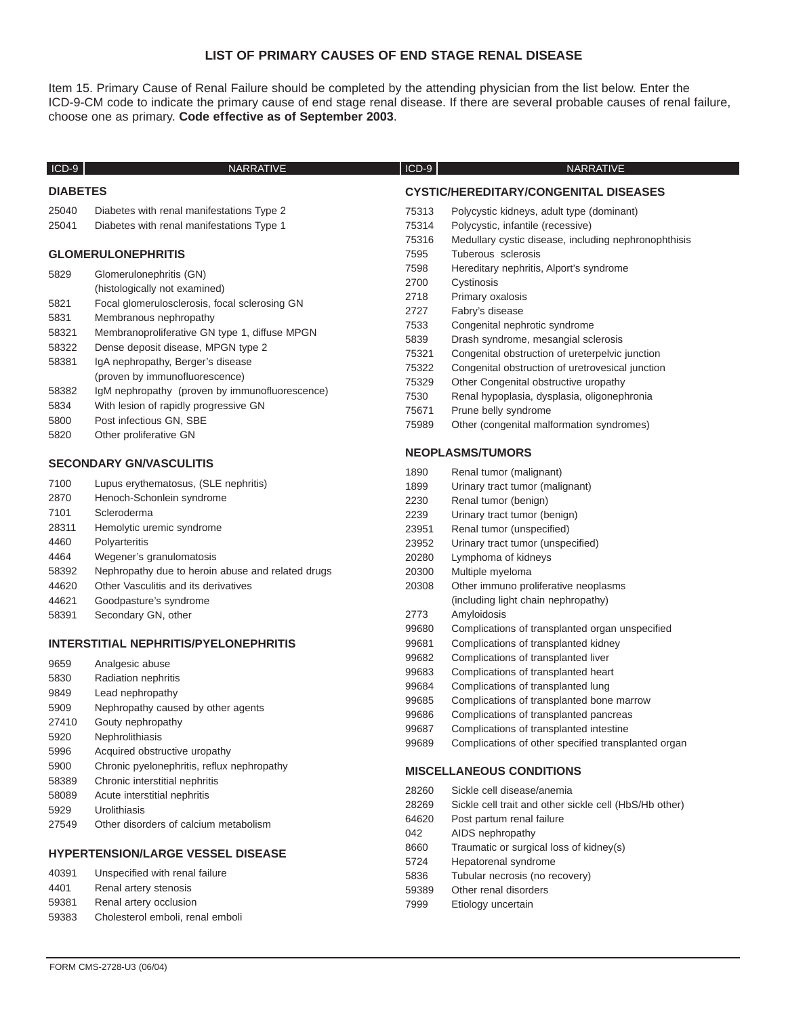### **LIST OF PRIMARY CAUSES OF END STAGE RENAL DISEASE**

Item 15. Primary Cause of Renal Failure should be completed by the attending physician from the list below. Enter the ICD-9-CM code to indicate the primary cause of end stage renal disease. If there are several probable causes of renal failure, choose one as primary. **Code effective as of September 2003**.

| $ ICD-9 $                      | <b>NARRATIVE</b>                                  | $ICD-9$                                      | <b>NARRATIVE</b>                                                                       |  |
|--------------------------------|---------------------------------------------------|----------------------------------------------|----------------------------------------------------------------------------------------|--|
| <b>DIABETES</b>                |                                                   | <b>CYSTIC/HEREDITARY/CONGENITAL DISEASES</b> |                                                                                        |  |
| 25040                          | Diabetes with renal manifestations Type 2         | 75313                                        | Polycystic kidneys, adult type (dominant)                                              |  |
| 25041                          | Diabetes with renal manifestations Type 1         | 75314                                        | Polycystic, infantile (recessive)                                                      |  |
|                                |                                                   | 75316                                        | Medullary cystic disease, including nephronophthisis                                   |  |
| <b>GLOMERULONEPHRITIS</b>      |                                                   | 7595                                         | Tuberous sclerosis                                                                     |  |
| 5829                           | Glomerulonephritis (GN)                           | 7598                                         | Hereditary nephritis, Alport's syndrome                                                |  |
|                                | (histologically not examined)                     | 2700                                         | Cystinosis                                                                             |  |
| 5821                           | Focal glomerulosclerosis, focal sclerosing GN     | 2718                                         | Primary oxalosis                                                                       |  |
| 5831                           | Membranous nephropathy                            | 2727                                         | Fabry's disease                                                                        |  |
| 58321                          | Membranoproliferative GN type 1, diffuse MPGN     | 7533<br>5839                                 | Congenital nephrotic syndrome                                                          |  |
| 58322                          | Dense deposit disease, MPGN type 2                | 75321                                        | Drash syndrome, mesangial sclerosis<br>Congenital obstruction of ureterpelvic junction |  |
| 58381                          | IgA nephropathy, Berger's disease                 | 75322                                        | Congenital obstruction of uretrovesical junction                                       |  |
|                                | (proven by immunofluorescence)                    | 75329                                        | Other Congenital obstructive uropathy                                                  |  |
| 58382                          | IgM nephropathy (proven by immunofluorescence)    | 7530                                         | Renal hypoplasia, dysplasia, oligonephronia                                            |  |
| 5834                           | With lesion of rapidly progressive GN             | 75671                                        | Prune belly syndrome                                                                   |  |
| 5800                           | Post infectious GN, SBE                           | 75989                                        | Other (congenital malformation syndromes)                                              |  |
| 5820                           | Other proliferative GN                            |                                              |                                                                                        |  |
| <b>SECONDARY GN/VASCULITIS</b> |                                                   | <b>NEOPLASMS/TUMORS</b>                      |                                                                                        |  |
|                                |                                                   | 1890                                         | Renal tumor (malignant)                                                                |  |
| 7100                           | Lupus erythematosus, (SLE nephritis)              | 1899                                         | Urinary tract tumor (malignant)                                                        |  |
| 2870                           | Henoch-Schonlein syndrome                         | 2230                                         | Renal tumor (benign)                                                                   |  |
| 7101                           | Scleroderma                                       | 2239                                         | Urinary tract tumor (benign)                                                           |  |
| 28311                          | Hemolytic uremic syndrome                         | 23951                                        | Renal tumor (unspecified)                                                              |  |
| 4460                           | Polyarteritis                                     | 23952                                        | Urinary tract tumor (unspecified)                                                      |  |
| 4464                           | Wegener's granulomatosis                          | 20280                                        | Lymphoma of kidneys                                                                    |  |
| 58392                          | Nephropathy due to heroin abuse and related drugs | 20300                                        | Multiple myeloma                                                                       |  |
| 44620                          | Other Vasculitis and its derivatives              | 20308                                        | Other immuno proliferative neoplasms                                                   |  |
| 44621<br>58391                 | Goodpasture's syndrome                            | 2773                                         | (including light chain nephropathy)<br>Amyloidosis                                     |  |
|                                | Secondary GN, other                               | 99680                                        | Complications of transplanted organ unspecified                                        |  |
|                                | INTERSTITIAL NEPHRITIS/PYELONEPHRITIS             | 99681                                        | Complications of transplanted kidney                                                   |  |
|                                |                                                   | 99682                                        | Complications of transplanted liver                                                    |  |
| 9659                           | Analgesic abuse                                   | 99683                                        | Complications of transplanted heart                                                    |  |
| 5830                           | Radiation nephritis                               | 99684                                        | Complications of transplanted lung                                                     |  |
| 9849                           | Lead nephropathy                                  | 99685                                        | Complications of transplanted bone marrow                                              |  |
| 5909                           | Nephropathy caused by other agents                | 99686                                        | Complications of transplanted pancreas                                                 |  |
| 27410                          | Gouty nephropathy                                 | 99687                                        | Complications of transplanted intestine                                                |  |
| 5920                           | Nephrolithiasis                                   | 99689                                        | Complications of other specified transplanted organ                                    |  |
| 5996                           | Acquired obstructive uropathy                     |                                              |                                                                                        |  |
| 5900                           | Chronic pyelonephritis, reflux nephropathy        |                                              | <b>MISCELLANEOUS CONDITIONS</b>                                                        |  |
| 58389                          | Chronic interstitial nephritis                    | 28260                                        | Sickle cell disease/anemia                                                             |  |
| 58089                          | Acute interstitial nephritis                      | 28269                                        | Sickle cell trait and other sickle cell (HbS/Hb other)                                 |  |
| 5929                           | Urolithiasis                                      | 64620                                        | Post partum renal failure                                                              |  |
| 27549                          | Other disorders of calcium metabolism             | 042                                          | AIDS nephropathy                                                                       |  |
|                                |                                                   | 8660                                         | Traumatic or surgical loss of kidney(s)                                                |  |
|                                | <b>HYPERTENSION/LARGE VESSEL DISEASE</b>          | 5724                                         | Hepatorenal syndrome                                                                   |  |
| 40391                          | Unspecified with renal failure                    | 5836                                         | Tubular necrosis (no recovery)                                                         |  |
| 4401                           | Renal artery stenosis                             | 59389                                        | Other renal disorders                                                                  |  |
| 59381                          | Renal artery occlusion                            | 7999                                         | Etiology uncertain                                                                     |  |

59383 Cholesterol emboli, renal emboli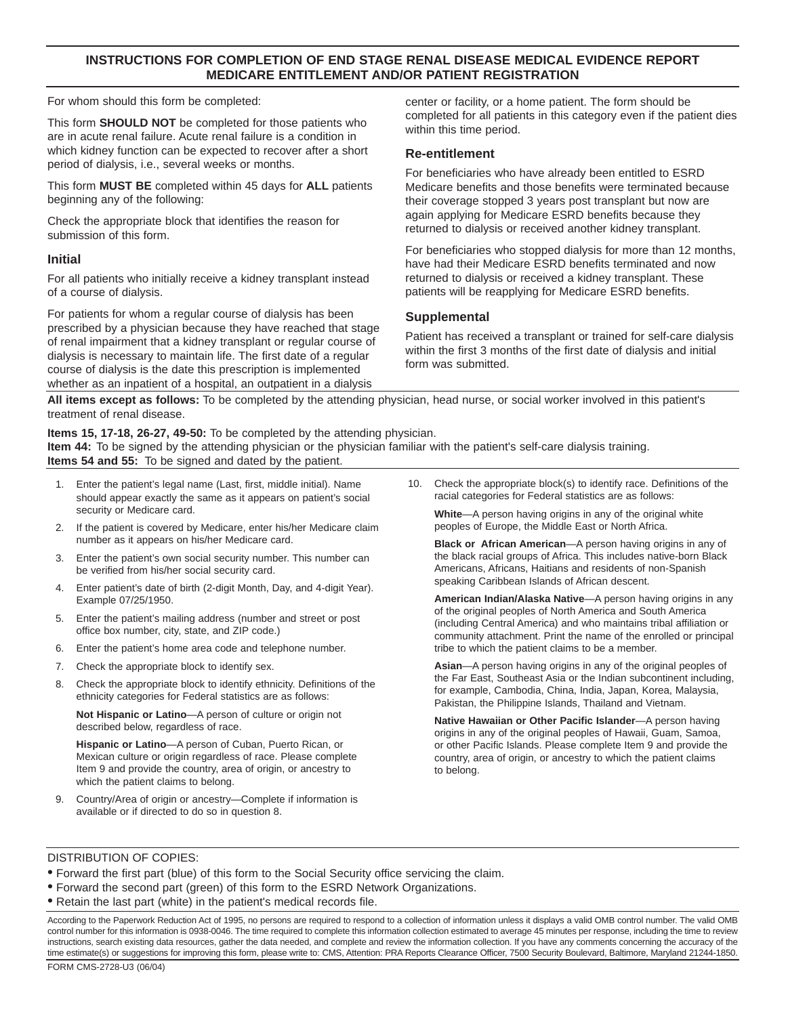## **INSTRUCTIONS FOR COMPLETION OF END STAGE RENAL DISEASE MEDICAL EVIDENCE REPORT MEDICARE ENTITLEMENT AND/OR PATIENT REGISTRATION**

For whom should this form be completed:

This form **SHOULD NOT** be completed for those patients who are in acute renal failure. Acute renal failure is a condition in which kidney function can be expected to recover after a short period of dialysis, i.e., several weeks or months.

This form **MUST BE** completed within 45 days for **ALL** patients beginning any of the following:

Check the appropriate block that identifies the reason for submission of this form.

### **Initial**

For all patients who initially receive a kidney transplant instead of a course of dialysis.

For patients for whom a regular course of dialysis has been prescribed by a physician because they have reached that stage of renal impairment that a kidney transplant or regular course of dialysis is necessary to maintain life. The first date of a regular course of dialysis is the date this prescription is implemented whether as an inpatient of a hospital, an outpatient in a dialysis

center or facility, or a home patient. The form should be completed for all patients in this category even if the patient dies within this time period.

### **Re-entitlement**

For beneficiaries who have already been entitled to ESRD Medicare benefits and those benefits were terminated because their coverage stopped 3 years post transplant but now are again applying for Medicare ESRD benefits because they returned to dialysis or received another kidney transplant.

For beneficiaries who stopped dialysis for more than 12 months, have had their Medicare ESRD benefits terminated and now returned to dialysis or received a kidney transplant. These patients will be reapplying for Medicare ESRD benefits.

### **Supplemental**

Patient has received a transplant or trained for self-care dialysis within the first 3 months of the first date of dialysis and initial form was submitted.

**All items except as follows:** To be completed by the attending physician, head nurse, or social worker involved in this patient's treatment of renal disease.

**Items 15, 17-18, 26-27, 49-50:** To be completed by the attending physician. **Item 44:** To be signed by the attending physician or the physician familiar with the patient's self-care dialysis training. **Items 54 and 55:** To be signed and dated by the patient.

- 1. Enter the patient's legal name (Last, first, middle initial). Name should appear exactly the same as it appears on patient's social security or Medicare card.
- 2. If the patient is covered by Medicare, enter his/her Medicare claim number as it appears on his/her Medicare card.
- 3. Enter the patient's own social security number. This number can be verified from his/her social security card.
- 4. Enter patient's date of birth (2-digit Month, Day, and 4-digit Year). Example 07/25/1950.
- 5. Enter the patient's mailing address (number and street or post office box number, city, state, and ZIP code.)
- 6. Enter the patient's home area code and telephone number.
- 7. Check the appropriate block to identify sex.
- 8. Check the appropriate block to identify ethnicity. Definitions of the ethnicity categories for Federal statistics are as follows:

**Not Hispanic or Latino**—A person of culture or origin not described below, regardless of race.

**Hispanic or Latino**—A person of Cuban, Puerto Rican, or Mexican culture or origin regardless of race. Please complete Item 9 and provide the country, area of origin, or ancestry to which the patient claims to belong.

9. Country/Area of origin or ancestry—Complete if information is available or if directed to do so in question 8.

10. Check the appropriate block(s) to identify race. Definitions of the racial categories for Federal statistics are as follows:

**White**—A person having origins in any of the original white peoples of Europe, the Middle East or North Africa.

**Black or African American**—A person having origins in any of the black racial groups of Africa. This includes native-born Black Americans, Africans, Haitians and residents of non-Spanish speaking Caribbean Islands of African descent.

**American Indian/Alaska Native**—A person having origins in any of the original peoples of North America and South America (including Central America) and who maintains tribal affiliation or community attachment. Print the name of the enrolled or principal tribe to which the patient claims to be a member.

**Asian**—A person having origins in any of the original peoples of the Far East, Southeast Asia or the Indian subcontinent including, for example, Cambodia, China, India, Japan, Korea, Malaysia, Pakistan, the Philippine Islands, Thailand and Vietnam.

**Native Hawaiian or Other Pacific Islander**—A person having origins in any of the original peoples of Hawaii, Guam, Samoa, or other Pacific Islands. Please complete Item 9 and provide the country, area of origin, or ancestry to which the patient claims to belong.

#### DISTRIBUTION OF COPIES:

- Forward the first part (blue) of this form to the Social Security office servicing the claim.
- Forward the second part (green) of this form to the ESRD Network Organizations.
- Retain the last part (white) in the patient's medical records file.

According to the Paperwork Reduction Act of 1995, no persons are required to respond to a collection of information unless it displays a valid OMB control number. The valid OMB control number for this information is 0938-0046. The time required to complete this information collection estimated to average 45 minutes per response, including the time to review instructions, search existing data resources, gather the data needed, and complete and review the information collection. If you have any comments concerning the accuracy of the time estimate(s) or suggestions for improving this form, please write to: CMS, Attention: PRA Reports Clearance Officer, 7500 Security Boulevard, Baltimore, Maryland 21244-1850.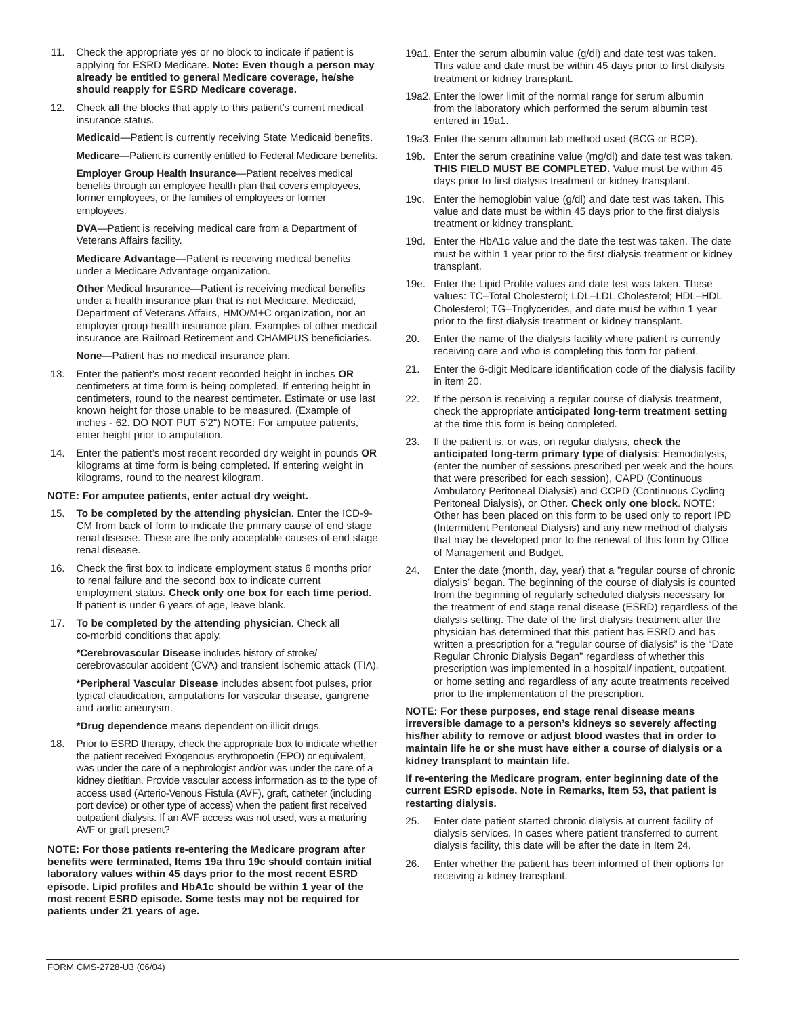- 11. Check the appropriate yes or no block to indicate if patient is applying for ESRD Medicare. **Note: Even though a person may already be entitled to general Medicare coverage, he/she should reapply for ESRD Medicare coverage.**
- 12. Check **all** the blocks that apply to this patient's current medical insurance status.

**Medicaid**—Patient is currently receiving State Medicaid benefits.

**Medicare**—Patient is currently entitled to Federal Medicare benefits.

**Employer Group Health Insurance**—Patient receives medical benefits through an employee health plan that covers employees, former employees, or the families of employees or former employees.

**DVA**—Patient is receiving medical care from a Department of Veterans Affairs facility.

**Medicare Advantage**—Patient is receiving medical benefits under a Medicare Advantage organization.

**Other** Medical Insurance—Patient is receiving medical benefits under a health insurance plan that is not Medicare, Medicaid, Department of Veterans Affairs, HMO/M+C organization, nor an employer group health insurance plan. Examples of other medical insurance are Railroad Retirement and CHAMPUS beneficiaries.

**None**—Patient has no medical insurance plan.

- 13. Enter the patient's most recent recorded height in inches **OR** centimeters at time form is being completed. If entering height in centimeters, round to the nearest centimeter. Estimate or use last known height for those unable to be measured. (Example of inches - 62. DO NOT PUT 5'2") NOTE: For amputee patients, enter height prior to amputation.
- 14. Enter the patient's most recent recorded dry weight in pounds **OR** kilograms at time form is being completed. If entering weight in kilograms, round to the nearest kilogram.

#### **NOTE: For amputee patients, enter actual dry weight.**

- 15. **To be completed by the attending physician**. Enter the ICD-9- CM from back of form to indicate the primary cause of end stage renal disease. These are the only acceptable causes of end stage renal disease.
- 16. Check the first box to indicate employment status 6 months prior to renal failure and the second box to indicate current employment status. **Check only one box for each time period**. If patient is under 6 years of age, leave blank.
- 17. **To be completed by the attending physician**. Check all co-morbid conditions that apply.

**\*Cerebrovascular Disease** includes history of stroke/ cerebrovascular accident (CVA) and transient ischemic attack (TIA).

**\*Peripheral Vascular Disease** includes absent foot pulses, prior typical claudication, amputations for vascular disease, gangrene and aortic aneurysm.

**\*Drug dependence** means dependent on illicit drugs.

18. Prior to ESRD therapy, check the appropriate box to indicate whether the patient received Exogenous erythropoetin (EPO) or equivalent, was under the care of a nephrologist and/or was under the care of a kidney dietitian. Provide vascular access information as to the type of access used (Arterio-Venous Fistula (AVF), graft, catheter (including port device) or other type of access) when the patient first received outpatient dialysis. If an AVF access was not used, was a maturing AVF or graft present?

**NOTE: For those patients re-entering the Medicare program after benefits were terminated, Items 19a thru 19c should contain initial laboratory values within 45 days prior to the most recent ESRD episode. Lipid profiles and HbA1c should be within 1 year of the most recent ESRD episode. Some tests may not be required for patients under 21 years of age.**

- 19a1. Enter the serum albumin value (g/dl) and date test was taken. This value and date must be within 45 days prior to first dialysis treatment or kidney transplant.
- 19a2. Enter the lower limit of the normal range for serum albumin from the laboratory which performed the serum albumin test entered in 19a1.
- 19a3. Enter the serum albumin lab method used (BCG or BCP).
- 19b. Enter the serum creatinine value (mg/dl) and date test was taken. **THIS FIELD MUST BE COMPLETED.** Value must be within 45 days prior to first dialysis treatment or kidney transplant.
- 19c. Enter the hemoglobin value (g/dl) and date test was taken. This value and date must be within 45 days prior to the first dialysis treatment or kidney transplant.
- 19d. Enter the HbA1c value and the date the test was taken. The date must be within 1 year prior to the first dialysis treatment or kidney transplant.
- 19e. Enter the Lipid Profile values and date test was taken. These values: TC–Total Cholesterol; LDL–LDL Cholesterol; HDL–HDL Cholesterol; TG–Triglycerides, and date must be within 1 year prior to the first dialysis treatment or kidney transplant.
- 20. Enter the name of the dialysis facility where patient is currently receiving care and who is completing this form for patient.
- 21. Enter the 6-digit Medicare identification code of the dialysis facility in item 20.
- 22. If the person is receiving a regular course of dialysis treatment, check the appropriate **anticipated long-term treatment setting** at the time this form is being completed.
- 23. If the patient is, or was, on regular dialysis, **check the anticipated long-term primary type of dialysis**: Hemodialysis, (enter the number of sessions prescribed per week and the hours that were prescribed for each session), CAPD (Continuous Ambulatory Peritoneal Dialysis) and CCPD (Continuous Cycling Peritoneal Dialysis), or Other. **Check only one block**. NOTE: Other has been placed on this form to be used only to report IPD (Intermittent Peritoneal Dialysis) and any new method of dialysis that may be developed prior to the renewal of this form by Office of Management and Budget.
- 24. Enter the date (month, day, year) that a "regular course of chronic dialysis" began. The beginning of the course of dialysis is counted from the beginning of regularly scheduled dialysis necessary for the treatment of end stage renal disease (ESRD) regardless of the dialysis setting. The date of the first dialysis treatment after the physician has determined that this patient has ESRD and has written a prescription for a "regular course of dialysis" is the "Date Regular Chronic Dialysis Began" regardless of whether this prescription was implemented in a hospital/ inpatient, outpatient, or home setting and regardless of any acute treatments received prior to the implementation of the prescription.

**NOTE: For these purposes, end stage renal disease means irreversible damage to a person's kidneys so severely affecting his/her ability to remove or adjust blood wastes that in order to maintain life he or she must have either a course of dialysis or a kidney transplant to maintain life.**

#### **If re-entering the Medicare program, enter beginning date of the current ESRD episode. Note in Remarks, Item 53, that patient is restarting dialysis.**

- 25. Enter date patient started chronic dialysis at current facility of dialysis services. In cases where patient transferred to current dialysis facility, this date will be after the date in Item 24.
- 26. Enter whether the patient has been informed of their options for receiving a kidney transplant.